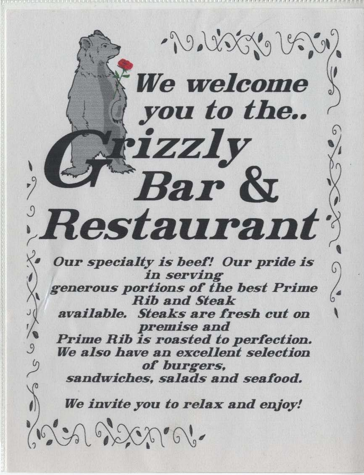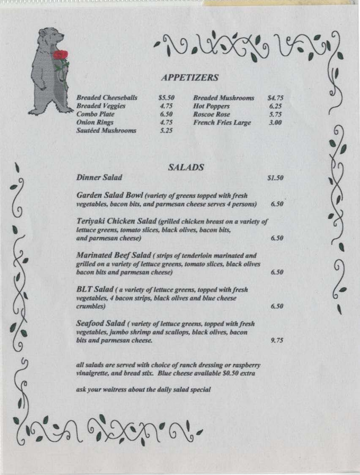

2000

SSOS

**Dinner Salad** 

- 20 22 23 3 1 9 3 3 1

\$1.50

## **APPETIZERS**

| <b>Breaded Cheeseballs</b> | \$5.50 | <b>Breaded Mushrooms</b>  | \$4.75 |
|----------------------------|--------|---------------------------|--------|
| <b>Breaded Veggies</b>     | 4.75   | <b>Hot Poppers</b>        | 6.25   |
| <b>Combo Plate</b>         | 6.50   | <b>Roscoe Rose</b>        | 5.75   |
| <b>Onion Rings</b>         | 4.75   | <b>French Fries Large</b> | 3.00   |
| <b>Sautéed Mushrooms</b>   | 5.25   |                           |        |

#### **SALADS**

| Garden Salad Bowl (variety of greens topped with fresh                                                                                                             |      |
|--------------------------------------------------------------------------------------------------------------------------------------------------------------------|------|
| vegetables, bacon bits, and parmesan cheese serves 4 persons)                                                                                                      | 6.50 |
| Teriyaki Chicken Salad (grilled chicken breast on a variety of<br>lettuce greens, tomato slices, black olives, bacon bits,                                         |      |
| and parmesan cheese)                                                                                                                                               | 6,50 |
| Marinated Beef Salad (strips of tenderloin marinated and<br>grilled on a variety of lettuce greens, tomato slices, black olives<br>bacon bits and parmesan cheese) | 6.50 |
| <b>BLT Salad</b> (a variety of lettuce greens, topped with fresh<br>vegetables, 4 bacon strips, black olives and blue cheese<br>crumbles)                          | 6,50 |
| Seafood Salad (variety of lettuce greens, topped with fresh<br>vegetables, jumbo shrimp and scallops, black olives, bacon<br>bits and parmesan cheese.             | 9.75 |
|                                                                                                                                                                    |      |

all salads are served with choice of ranch dressing or raspberry vinaigrette, and bread stix. Blue cheese available \$0.50 extra

ask your waitress about the daily salad special 201922000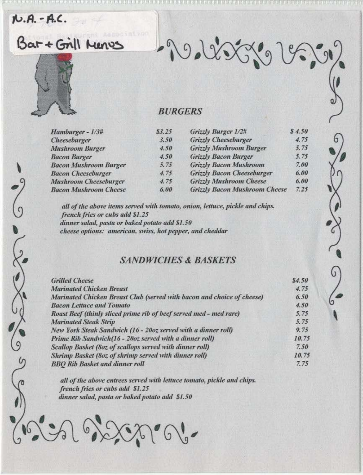# N.A. - A.C.

Bar + Grill Menes

#### **BURGERS**

Rodésiges

| Hamburger - 1/3#             | 53.25 | Grizzly Burger 1/2#                  | \$4.5 |
|------------------------------|-------|--------------------------------------|-------|
| Cheeseburger                 | 3.50  | <b>Grizzly Cheeseburger</b>          | 4.7   |
| <b>Mushroom Burger</b>       | 4.50  | <b>Grizzly Mushroom Burger</b>       | 5.7   |
| <b>Bacon Burger</b>          | 4.50  | <b>Grizzly Bacon Burger</b>          | 5.7   |
| <b>Bacon Mushroom Burger</b> | 5.75  | <b>Grizzly Bacon Mushroom</b>        | 7.0   |
| <b>Bacon Cheeseburger</b>    | 4.75  | <b>Grizzly Bacon Cheeseburger</b>    | 6.0   |
| <b>Mushroom Cheeseburger</b> | 4.75  | <b>Grizzly Mushroom Cheese</b>       | 6.0   |
| <b>Bacon Mushroom Cheese</b> | 6.00  | <b>Grizzly Bacon Mushroom Cheese</b> | 7.2   |
|                              |       |                                      |       |

all of the above items served with tomato, onion, lettuce, pickle and chips. french fries or cubs add \$1.25 dinner salad, pasta or baked potato add \$1.50 cheese options: american, swiss, hot pepper, and cheddar

### **SANDWICHES & BASKETS**

|               | <b>Grilled Cheese</b>                                                                                                                                       | \$4.50\$ |
|---------------|-------------------------------------------------------------------------------------------------------------------------------------------------------------|----------|
|               | <b>Marinated Chicken Breast</b>                                                                                                                             | 4.75     |
|               | Marinated Chicken Breast Club (served with bacon and choice of cheese)                                                                                      | 6.50     |
|               | <b>Bacon Lettuce and Tomato</b>                                                                                                                             | 4.50     |
|               | Roast Beef (thinly sliced prime rib of beef served med - med rare)                                                                                          | 5.75     |
|               | <b>Marinated Steak Strip</b>                                                                                                                                | 5.75     |
|               | New York Steak Sandwich (16 - 20oz served with a dinner roll)                                                                                               | 9.75     |
|               | Prime Rib Sandwich(16 - 20oz served with a dinner roll)                                                                                                     | 10.75    |
|               | Scallop Basket (80z of scallops served with dinner roll)                                                                                                    | 7.50     |
|               | Shrimp Basket (80z of shrimp served with dinner roll)                                                                                                       | 10.75    |
| $\mathcal{C}$ | <b>BBQ Rib Basket and dinner roll</b>                                                                                                                       | 7.75     |
|               | all of the above entrees served with lettuce tomato, pickle and chips.<br>french fries or cubs add \$1.25<br>dinner salad, pasta or baked potato add \$1.50 |          |
|               | A Room d'                                                                                                                                                   |          |
|               |                                                                                                                                                             |          |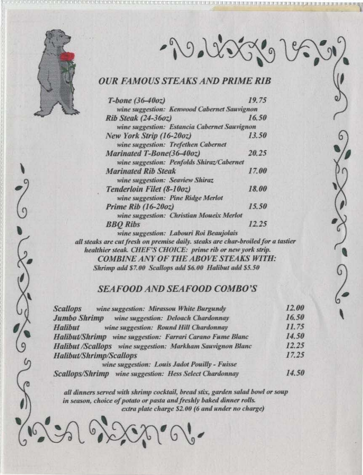

 $\frac{1}{2}$ 

290 NOVE 19680

## **OUR FAMOUS STEAKS AND PRIME RIB**

| $T-bone (36-40oz)$                           | 19.75 |
|----------------------------------------------|-------|
| wine suggestion: Kenwood Cabernet Sauvignon  |       |
| Rib Steak (24-36oz)                          | 16.50 |
| wine suggestion: Estancia Cabernet Sauvignon |       |
| New York Strip (16-20oz)                     | 13.50 |
| wine suggestion: Trefethen Cabernet          |       |
| Marinated T-Bone(36-40oz)                    | 20.25 |
| wine suggestion: Penfolds Shiraz/Cabernet    |       |
| <b>Marinated Rib Steak</b>                   | 17.00 |
| wine suggestion: Seaview Shiraz              |       |
| Tenderloin Filet (8-10oz)                    | 18.00 |
| wine suggestion: Pine Ridge Merlot           |       |
| Prime Rib $(16-20oz)$                        | 15.50 |
| wine suggestion: Christian Moueix Merlot     |       |
| <b>BBO</b> Ribs                              | 12.25 |
| wine suggestion: Labouri Roi Beaujolais      |       |

all steaks are cut fresh on premise daily. steaks are char-broiled for a tastier healthier steak. CHEF'S CHOICE: prime rib or new york strip. **COMBINE ANY OF THE ABOVE STEAKS WITH:** Shrimp add \$7.00 Scallops add \$6.00 Halibut add \$5.50

#### **SEAFOOD AND SEAFOOD COMBO'S**

| wine suggestion: Mirassou White Burgundy<br><b>Scallops</b>       | 12.00 |
|-------------------------------------------------------------------|-------|
| <b>Jumbo Shrimp</b> wine suggestion: Deloach Chardonnay           | 16.50 |
| wine suggestion: Round Hill Chardonnay<br><b>Halibut</b>          | 11.75 |
| <b>Halibut/Shrimp</b> wine suggestion: Farrari Carano Fume Blanc  | 14.50 |
| <b>Halibut</b> /Scallops wine suggestion: Markham Sauvignon Blanc | 12.25 |
| <b>Halibut/Shrimp/Scallops</b>                                    | 17.25 |
| wine suggestion: Louis Jadot Pouilly - Fuisse                     |       |
| Scallons/Shrimn wine suggestion: Hess Select Chardonnay           | 14.50 |

all dinners served with shrimp cocktail, bread stix, garden salad bowl or soup in season, choice of potato or pasta and freshly baked dinner rolls. extra plate charge \$2.00 (6 and under no charge)

19202006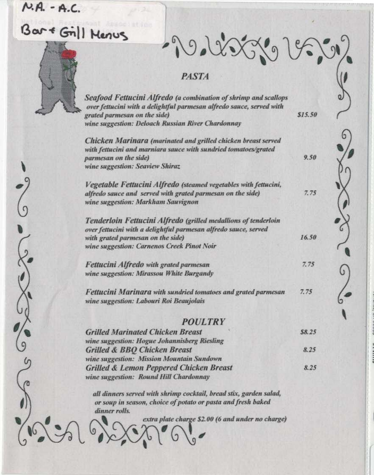# $N.A. - A.C.$ Bar + Gill Menus



 $203915$ 

 $$15.50$ 

9.50

 $7.75$ 

16.50

7.75

#### **PASTA**

Seafood Fettucini Alfredo (a combination of shrimp and scallops over fettucini with a delightful parmesan alfredo sauce, served with grated parmesan on the side) wine suggestion: Deloach Russian River Chardonnay

Chicken Marinara (marinated and grilled chicken breast served with fettucini and marniara sauce with sundried tomatoes/grated parmesan on the side) wine suggestion: Seaview Shiraz

Vegetable Fettucini Alfredo (steamed vegetables with fettucini, alfredo sauce and served with grated parmesan on the side) wine suggestion: Markham Sauvignon

Tenderloin Fettucini Alfredo (grilled medallions of tenderloin over fettucini with a delightful parmesan alfredo sauce, served with grated parmesan on the side) wine suggestion: Carnenos Creek Pinot Noir

**Fettucini Alfredo with grated parmesan** wine suggestion: Mirassou White Burgandy

Fettucini Marinara with sundried tomatoes and grated parmesan  $7.75$ wine suggestion: Labouri Roi Beaujolais

#### **POULTRY**

| <b>Grilled Marinated Chicken Breast</b>            | \$8.25 |
|----------------------------------------------------|--------|
| wine suggestion: Hogue Johannisberg Riesling       |        |
| <b>Grilled &amp; BBQ Chicken Breast</b>            | 8.25   |
| wine suggestion: Mission Mountain Sundown          |        |
| <b>Grilled &amp; Lemon Peppered Chicken Breast</b> | 8.25   |
| wine suggestion: Round Hill Chardonnay             |        |

all dinners served with shrimp cocktail, bread stix, garden salad, or soup in season, choice of potato or pasta and fresh baked dinner rolls.

extra plate charge \$2.00 (6 and under no charge)